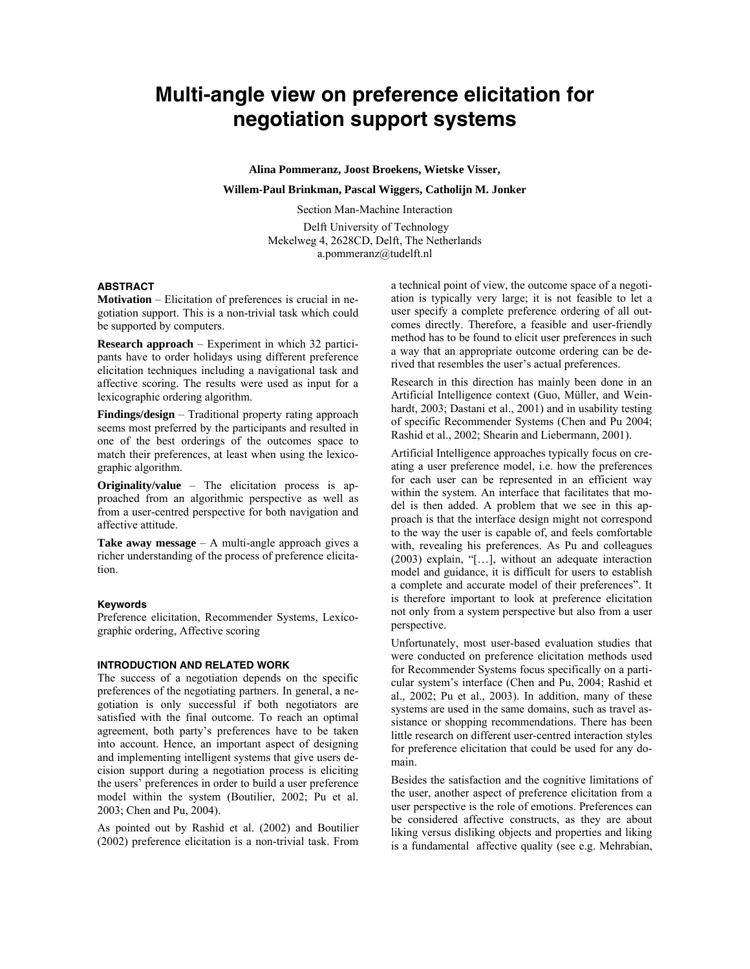# **Multi-angle view on preference elicitation for negotiation support systems**

**Alina Pommeranz, Joost Broekens, Wietske Visser,** 

**Willem-Paul Brinkman, Pascal Wiggers, Catholijn M. Jonker** 

Section Man-Machine Interaction

 Delft University of Technology Mekelweg 4, 2628CD, Delft, The Netherlands a.pommeranz@tudelft.nl

# **ABSTRACT**

**Motivation** – Elicitation of preferences is crucial in negotiation support. This is a non-trivial task which could be supported by computers.

**Research approach** – Experiment in which 32 participants have to order holidays using different preference elicitation techniques including a navigational task and affective scoring. The results were used as input for a lexicographic ordering algorithm.

**Findings/design** – Traditional property rating approach seems most preferred by the participants and resulted in one of the best orderings of the outcomes space to match their preferences, at least when using the lexicographic algorithm.

**Originality/value** – The elicitation process is approached from an algorithmic perspective as well as from a user-centred perspective for both navigation and affective attitude.

**Take away message** – A multi-angle approach gives a richer understanding of the process of preference elicitation.

#### **Keywords**

Preference elicitation, Recommender Systems, Lexicographic ordering, Affective scoring

## **INTRODUCTION AND RELATED WORK**

The success of a negotiation depends on the specific preferences of the negotiating partners. In general, a negotiation is only successful if both negotiators are satisfied with the final outcome. To reach an optimal agreement, both party's preferences have to be taken into account. Hence, an important aspect of designing and implementing intelligent systems that give users decision support during a negotiation process is eliciting the users' preferences in order to build a user preference model within the system (Boutilier, 2002; Pu et al. 2003; Chen and Pu, 2004).

As pointed out by Rashid et al. (2002) and Boutilier (2002) preference elicitation is a non-trivial task. From a technical point of view, the outcome space of a negotiation is typically very large; it is not feasible to let a user specify a complete preference ordering of all outcomes directly. Therefore, a feasible and user-friendly method has to be found to elicit user preferences in such a way that an appropriate outcome ordering can be derived that resembles the user's actual preferences.

Research in this direction has mainly been done in an Artificial Intelligence context (Guo, Müller, and Weinhardt, 2003; Dastani et al., 2001) and in usability testing of specific Recommender Systems (Chen and Pu 2004; Rashid et al., 2002; Shearin and Liebermann, 2001).

Artificial Intelligence approaches typically focus on creating a user preference model, i.e. how the preferences for each user can be represented in an efficient way within the system. An interface that facilitates that model is then added. A problem that we see in this approach is that the interface design might not correspond to the way the user is capable of, and feels comfortable with, revealing his preferences. As Pu and colleagues (2003) explain, "[…], without an adequate interaction model and guidance, it is difficult for users to establish a complete and accurate model of their preferences". It is therefore important to look at preference elicitation not only from a system perspective but also from a user perspective.

Unfortunately, most user-based evaluation studies that were conducted on preference elicitation methods used for Recommender Systems focus specifically on a particular system's interface (Chen and Pu, 2004; Rashid et al., 2002; Pu et al., 2003). In addition, many of these systems are used in the same domains, such as travel assistance or shopping recommendations. There has been little research on different user-centred interaction styles for preference elicitation that could be used for any domain.

Besides the satisfaction and the cognitive limitations of the user, another aspect of preference elicitation from a user perspective is the role of emotions. Preferences can be considered affective constructs, as they are about liking versus disliking objects and properties and liking is a fundamental affective quality (see e.g. Mehrabian,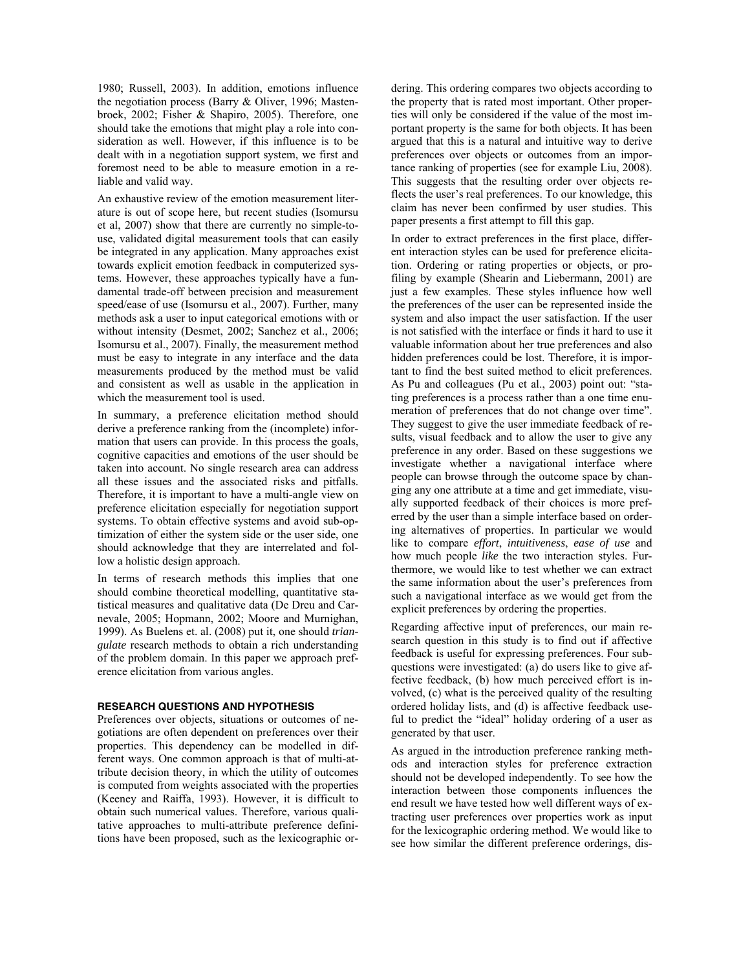1980; Russell, 2003). In addition, emotions influence the negotiation process (Barry & Oliver, 1996; Mastenbroek, 2002; Fisher & Shapiro, 2005). Therefore, one should take the emotions that might play a role into consideration as well. However, if this influence is to be dealt with in a negotiation support system, we first and foremost need to be able to measure emotion in a reliable and valid way.

An exhaustive review of the emotion measurement literature is out of scope here, but recent studies (Isomursu et al, 2007) show that there are currently no simple-touse, validated digital measurement tools that can easily be integrated in any application. Many approaches exist towards explicit emotion feedback in computerized systems. However, these approaches typically have a fundamental trade-off between precision and measurement speed/ease of use (Isomursu et al., 2007). Further, many methods ask a user to input categorical emotions with or without intensity (Desmet, 2002; Sanchez et al., 2006; Isomursu et al., 2007). Finally, the measurement method must be easy to integrate in any interface and the data measurements produced by the method must be valid and consistent as well as usable in the application in which the measurement tool is used.

In summary, a preference elicitation method should derive a preference ranking from the (incomplete) information that users can provide. In this process the goals, cognitive capacities and emotions of the user should be taken into account. No single research area can address all these issues and the associated risks and pitfalls. Therefore, it is important to have a multi-angle view on preference elicitation especially for negotiation support systems. To obtain effective systems and avoid sub-optimization of either the system side or the user side, one should acknowledge that they are interrelated and follow a holistic design approach.

In terms of research methods this implies that one should combine theoretical modelling, quantitative statistical measures and qualitative data (De Dreu and Carnevale, 2005; Hopmann, 2002; Moore and Murnighan, 1999). As Buelens et. al. (2008) put it, one should *triangulate* research methods to obtain a rich understanding of the problem domain. In this paper we approach preference elicitation from various angles.

#### **RESEARCH QUESTIONS AND HYPOTHESIS**

Preferences over objects, situations or outcomes of negotiations are often dependent on preferences over their properties. This dependency can be modelled in different ways. One common approach is that of multi-attribute decision theory, in which the utility of outcomes is computed from weights associated with the properties (Keeney and Raiffa, 1993). However, it is difficult to obtain such numerical values. Therefore, various qualitative approaches to multi-attribute preference definitions have been proposed, such as the lexicographic ordering. This ordering compares two objects according to the property that is rated most important. Other properties will only be considered if the value of the most important property is the same for both objects. It has been argued that this is a natural and intuitive way to derive preferences over objects or outcomes from an importance ranking of properties (see for example Liu, 2008). This suggests that the resulting order over objects reflects the user's real preferences. To our knowledge, this claim has never been confirmed by user studies. This paper presents a first attempt to fill this gap.

In order to extract preferences in the first place, different interaction styles can be used for preference elicitation. Ordering or rating properties or objects, or profiling by example (Shearin and Liebermann, 2001) are just a few examples. These styles influence how well the preferences of the user can be represented inside the system and also impact the user satisfaction. If the user is not satisfied with the interface or finds it hard to use it valuable information about her true preferences and also hidden preferences could be lost. Therefore, it is important to find the best suited method to elicit preferences. As Pu and colleagues (Pu et al., 2003) point out: "stating preferences is a process rather than a one time enumeration of preferences that do not change over time". They suggest to give the user immediate feedback of results, visual feedback and to allow the user to give any preference in any order. Based on these suggestions we investigate whether a navigational interface where people can browse through the outcome space by changing any one attribute at a time and get immediate, visually supported feedback of their choices is more preferred by the user than a simple interface based on ordering alternatives of properties. In particular we would like to compare *effort*, *intuitiveness*, *ease of use* and how much people *like* the two interaction styles. Furthermore, we would like to test whether we can extract the same information about the user's preferences from such a navigational interface as we would get from the explicit preferences by ordering the properties.

Regarding affective input of preferences, our main research question in this study is to find out if affective feedback is useful for expressing preferences. Four subquestions were investigated: (a) do users like to give affective feedback, (b) how much perceived effort is involved, (c) what is the perceived quality of the resulting ordered holiday lists, and (d) is affective feedback useful to predict the "ideal" holiday ordering of a user as generated by that user.

As argued in the introduction preference ranking methods and interaction styles for preference extraction should not be developed independently. To see how the interaction between those components influences the end result we have tested how well different ways of extracting user preferences over properties work as input for the lexicographic ordering method. We would like to see how similar the different preference orderings, dis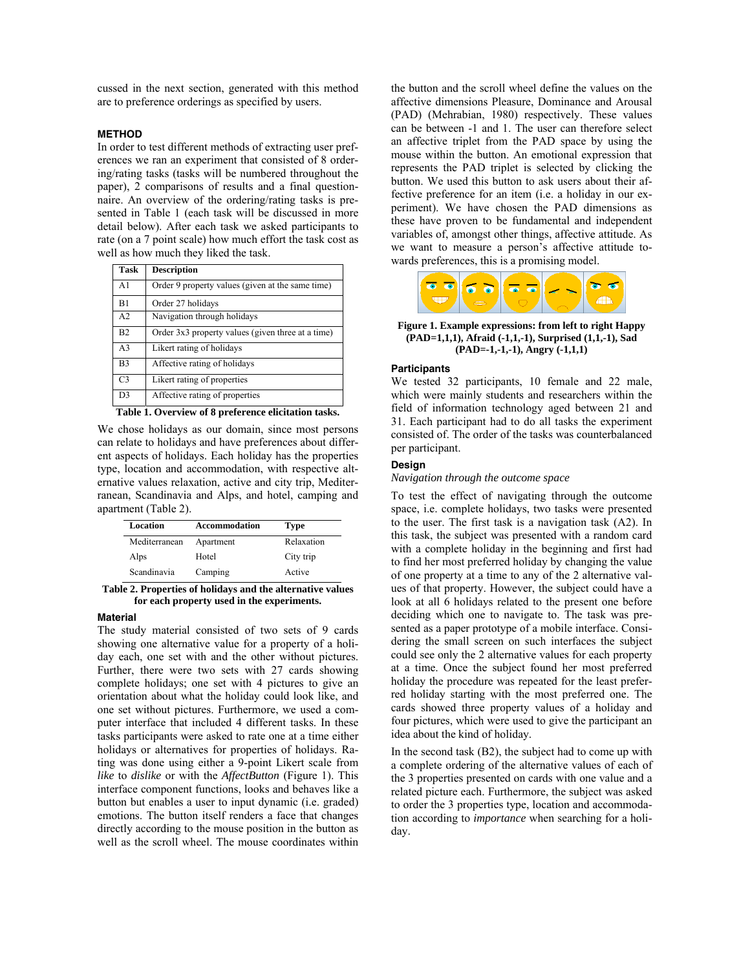cussed in the next section, generated with this method are to preference orderings as specified by users.

## **METHOD**

In order to test different methods of extracting user preferences we ran an experiment that consisted of 8 ordering/rating tasks (tasks will be numbered throughout the paper), 2 comparisons of results and a final questionnaire. An overview of the ordering/rating tasks is presented in Table 1 (each task will be discussed in more detail below). After each task we asked participants to rate (on a 7 point scale) how much effort the task cost as well as how much they liked the task.

| Task           | <b>Description</b>                                |
|----------------|---------------------------------------------------|
| A <sub>1</sub> | Order 9 property values (given at the same time)  |
| B1             | Order 27 holidays                                 |
| A <sub>2</sub> | Navigation through holidays                       |
| B <sub>2</sub> | Order 3x3 property values (given three at a time) |
| A <sub>3</sub> | Likert rating of holidays                         |
| B3             | Affective rating of holidays                      |
| C <sub>3</sub> | Likert rating of properties                       |
| D3             | Affective rating of properties                    |

**Table 1. Overview of 8 preference elicitation tasks.** 

We chose holidays as our domain, since most persons can relate to holidays and have preferences about different aspects of holidays. Each holiday has the properties type, location and accommodation, with respective alternative values relaxation, active and city trip, Mediterranean, Scandinavia and Alps, and hotel, camping and apartment (Table 2).

| Location      | <b>Accommodation</b> | <b>Type</b> |
|---------------|----------------------|-------------|
| Mediterranean | Apartment            | Relaxation  |
| Alps          | Hotel                | City trip   |
| Scandinavia   | Camping              | Active      |

**Table 2. Properties of holidays and the alternative values for each property used in the experiments.** 

## **Material**

The study material consisted of two sets of 9 cards showing one alternative value for a property of a holiday each, one set with and the other without pictures. Further, there were two sets with 27 cards showing complete holidays; one set with 4 pictures to give an orientation about what the holiday could look like, and one set without pictures. Furthermore, we used a computer interface that included 4 different tasks. In these tasks participants were asked to rate one at a time either holidays or alternatives for properties of holidays. Rating was done using either a 9-point Likert scale from *like* to *dislike* or with the *AffectButton* (Figure 1). This interface component functions, looks and behaves like a button but enables a user to input dynamic (i.e. graded) emotions. The button itself renders a face that changes directly according to the mouse position in the button as well as the scroll wheel. The mouse coordinates within the button and the scroll wheel define the values on the affective dimensions Pleasure, Dominance and Arousal (PAD) (Mehrabian, 1980) respectively. These values can be between -1 and 1. The user can therefore select an affective triplet from the PAD space by using the mouse within the button. An emotional expression that represents the PAD triplet is selected by clicking the button. We used this button to ask users about their affective preference for an item (i.e. a holiday in our experiment). We have chosen the PAD dimensions as these have proven to be fundamental and independent variables of, amongst other things, affective attitude. As we want to measure a person's affective attitude towards preferences, this is a promising model.



**Figure 1. Example expressions: from left to right Happy (PAD=1,1,1), Afraid (-1,1,-1), Surprised (1,1,-1), Sad (PAD=-1,-1,-1), Angry (-1,1,1)** 

## **Participants**

We tested 32 participants, 10 female and 22 male, which were mainly students and researchers within the field of information technology aged between 21 and 31. Each participant had to do all tasks the experiment consisted of. The order of the tasks was counterbalanced per participant.

#### **Design**

## *Navigation through the outcome space*

To test the effect of navigating through the outcome space, i.e. complete holidays, two tasks were presented to the user. The first task is a navigation task (A2). In this task, the subject was presented with a random card with a complete holiday in the beginning and first had to find her most preferred holiday by changing the value of one property at a time to any of the 2 alternative values of that property. However, the subject could have a look at all 6 holidays related to the present one before deciding which one to navigate to. The task was presented as a paper prototype of a mobile interface. Considering the small screen on such interfaces the subject could see only the 2 alternative values for each property at a time. Once the subject found her most preferred holiday the procedure was repeated for the least preferred holiday starting with the most preferred one. The cards showed three property values of a holiday and four pictures, which were used to give the participant an idea about the kind of holiday.

In the second task (B2), the subject had to come up with a complete ordering of the alternative values of each of the 3 properties presented on cards with one value and a related picture each. Furthermore, the subject was asked to order the 3 properties type, location and accommodation according to *importance* when searching for a holiday.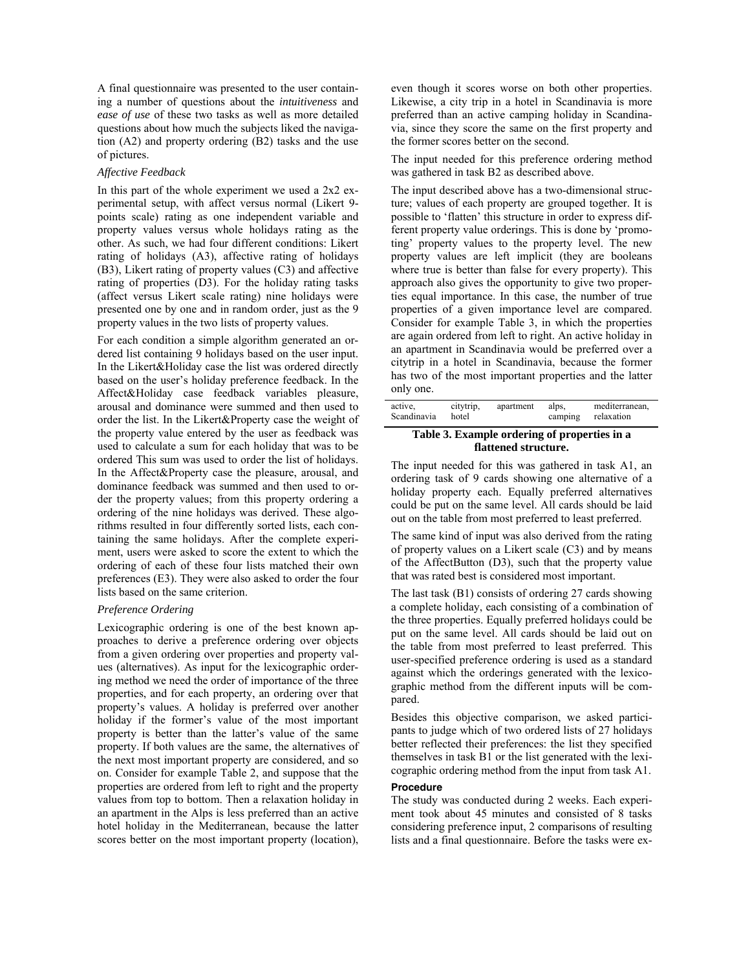A final questionnaire was presented to the user containing a number of questions about the *intuitiveness* and *ease of use* of these two tasks as well as more detailed questions about how much the subjects liked the navigation (A2) and property ordering (B2) tasks and the use of pictures.

## *Affective Feedback*

In this part of the whole experiment we used a 2x2 experimental setup, with affect versus normal (Likert 9 points scale) rating as one independent variable and property values versus whole holidays rating as the other. As such, we had four different conditions: Likert rating of holidays (A3), affective rating of holidays (B3), Likert rating of property values (C3) and affective rating of properties (D3). For the holiday rating tasks (affect versus Likert scale rating) nine holidays were presented one by one and in random order, just as the 9 property values in the two lists of property values.

For each condition a simple algorithm generated an ordered list containing 9 holidays based on the user input. In the Likert&Holiday case the list was ordered directly based on the user's holiday preference feedback. In the Affect&Holiday case feedback variables pleasure, arousal and dominance were summed and then used to order the list. In the Likert&Property case the weight of the property value entered by the user as feedback was used to calculate a sum for each holiday that was to be ordered This sum was used to order the list of holidays. In the Affect&Property case the pleasure, arousal, and dominance feedback was summed and then used to order the property values; from this property ordering a ordering of the nine holidays was derived. These algorithms resulted in four differently sorted lists, each containing the same holidays. After the complete experiment, users were asked to score the extent to which the ordering of each of these four lists matched their own preferences (E3). They were also asked to order the four lists based on the same criterion.

## *Preference Ordering*

Lexicographic ordering is one of the best known approaches to derive a preference ordering over objects from a given ordering over properties and property values (alternatives). As input for the lexicographic ordering method we need the order of importance of the three properties, and for each property, an ordering over that property's values. A holiday is preferred over another holiday if the former's value of the most important property is better than the latter's value of the same property. If both values are the same, the alternatives of the next most important property are considered, and so on. Consider for example Table 2, and suppose that the properties are ordered from left to right and the property values from top to bottom. Then a relaxation holiday in an apartment in the Alps is less preferred than an active hotel holiday in the Mediterranean, because the latter scores better on the most important property (location), even though it scores worse on both other properties. Likewise, a city trip in a hotel in Scandinavia is more preferred than an active camping holiday in Scandinavia, since they score the same on the first property and the former scores better on the second.

The input needed for this preference ordering method was gathered in task B2 as described above.

The input described above has a two-dimensional structure; values of each property are grouped together. It is possible to 'flatten' this structure in order to express different property value orderings. This is done by 'promoting' property values to the property level. The new property values are left implicit (they are booleans where true is better than false for every property). This approach also gives the opportunity to give two properties equal importance. In this case, the number of true properties of a given importance level are compared. Consider for example Table 3, in which the properties are again ordered from left to right. An active holiday in an apartment in Scandinavia would be preferred over a citytrip in a hotel in Scandinavia, because the former has two of the most important properties and the latter only one.

| mediterranean,<br>active,<br>citytrip,<br>apartment<br>alps.<br>Scandinavia<br>relaxation<br>hotel<br>camping |
|---------------------------------------------------------------------------------------------------------------|
|---------------------------------------------------------------------------------------------------------------|

## **Table 3. Example ordering of properties in a flattened structure.**

The input needed for this was gathered in task A1, an ordering task of 9 cards showing one alternative of a holiday property each. Equally preferred alternatives could be put on the same level. All cards should be laid out on the table from most preferred to least preferred.

The same kind of input was also derived from the rating of property values on a Likert scale (C3) and by means of the AffectButton (D3), such that the property value that was rated best is considered most important.

The last task (B1) consists of ordering 27 cards showing a complete holiday, each consisting of a combination of the three properties. Equally preferred holidays could be put on the same level. All cards should be laid out on the table from most preferred to least preferred. This user-specified preference ordering is used as a standard against which the orderings generated with the lexicographic method from the different inputs will be compared.

Besides this objective comparison, we asked participants to judge which of two ordered lists of 27 holidays better reflected their preferences: the list they specified themselves in task B1 or the list generated with the lexicographic ordering method from the input from task A1.

## **Procedure**

The study was conducted during 2 weeks. Each experiment took about 45 minutes and consisted of 8 tasks considering preference input, 2 comparisons of resulting lists and a final questionnaire. Before the tasks were ex-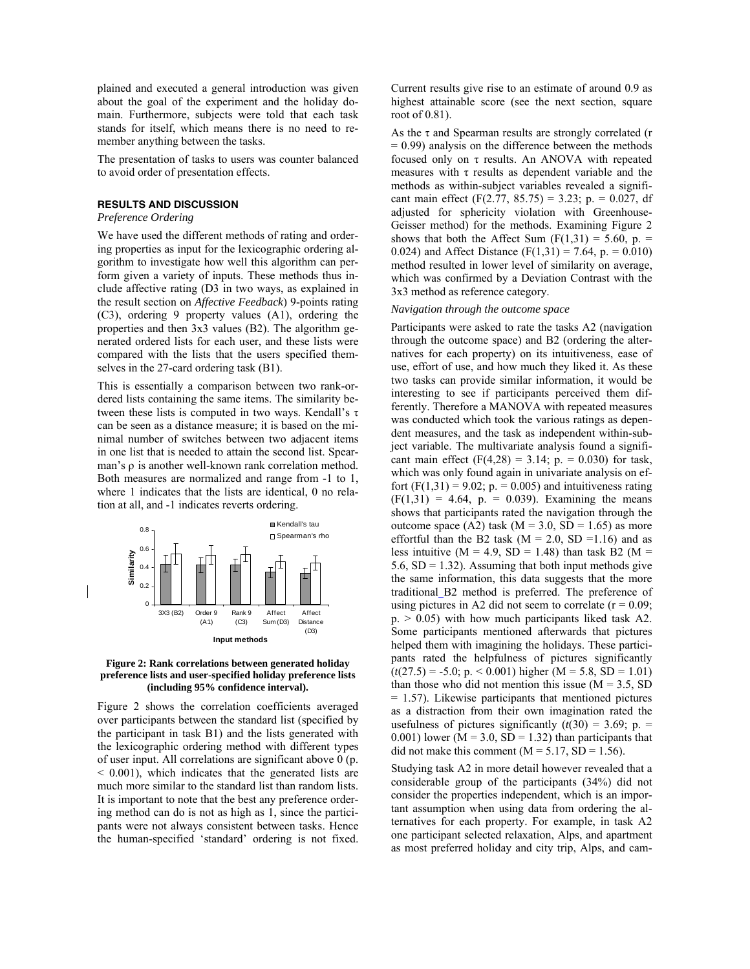plained and executed a general introduction was given about the goal of the experiment and the holiday domain. Furthermore, subjects were told that each task stands for itself, which means there is no need to remember anything between the tasks.

The presentation of tasks to users was counter balanced to avoid order of presentation effects.

#### **RESULTS AND DISCUSSION**

*Preference Ordering* 

We have used the different methods of rating and ordering properties as input for the lexicographic ordering algorithm to investigate how well this algorithm can perform given a variety of inputs. These methods thus include affective rating (D3 in two ways, as explained in the result section on *Affective Feedback*) 9-points rating (C3), ordering 9 property values (A1), ordering the properties and then 3x3 values (B2). The algorithm generated ordered lists for each user, and these lists were compared with the lists that the users specified themselves in the 27-card ordering task (B1).

This is essentially a comparison between two rank-ordered lists containing the same items. The similarity between these lists is computed in two ways. Kendall's τ can be seen as a distance measure; it is based on the minimal number of switches between two adjacent items in one list that is needed to attain the second list. Spearman's ρ is another well-known rank correlation method. Both measures are normalized and range from -1 to 1, where 1 indicates that the lists are identical, 0 no relation at all, and -1 indicates reverts ordering.



#### **Figure 2: Rank correlations between generated holiday preference lists and user-specified holiday preference lists (including 95% confidence interval).**

Figure 2 shows the correlation coefficients averaged over participants between the standard list (specified by the participant in task B1) and the lists generated with the lexicographic ordering method with different types of user input. All correlations are significant above 0 (p. < 0.001), which indicates that the generated lists are much more similar to the standard list than random lists. It is important to note that the best any preference ordering method can do is not as high as 1, since the participants were not always consistent between tasks. Hence the human-specified 'standard' ordering is not fixed.

Current results give rise to an estimate of around 0.9 as highest attainable score (see the next section, square root of 0.81).

As the τ and Spearman results are strongly correlated (r  $= 0.99$ ) analysis on the difference between the methods focused only on τ results. An ANOVA with repeated measures with  $\tau$  results as dependent variable and the methods as within-subject variables revealed a significant main effect  $(F(2.77, 85.75) = 3.23$ ; p. = 0.027, df adjusted for sphericity violation with Greenhouse-Geisser method) for the methods. Examining Figure 2 shows that both the Affect Sum  $(F(1,31) = 5.60, p. =$ 0.024) and Affect Distance  $(F(1,31) = 7.64, p. = 0.010)$ method resulted in lower level of similarity on average, which was confirmed by a Deviation Contrast with the 3x3 method as reference category.

#### *Navigation through the outcome space*

Participants were asked to rate the tasks A2 (navigation through the outcome space) and B2 (ordering the alternatives for each property) on its intuitiveness, ease of use, effort of use, and how much they liked it. As these two tasks can provide similar information, it would be interesting to see if participants perceived them differently. Therefore a MANOVA with repeated measures was conducted which took the various ratings as dependent measures, and the task as independent within-subject variable. The multivariate analysis found a significant main effect  $(F(4,28) = 3.14; p. = 0.030)$  for task, which was only found again in univariate analysis on effort  $(F(1,31) = 9.02; p = 0.005)$  and intuitiveness rating  $(F(1,31) = 4.64, p. = 0.039)$ . Examining the means shows that participants rated the navigation through the outcome space (A2) task ( $M = 3.0$ , SD = 1.65) as more effortful than the B2 task ( $M = 2.0$ , SD = 1.16) and as less intuitive ( $M = 4.9$ ,  $SD = 1.48$ ) than task B2 ( $M =$ 5.6,  $SD = 1.32$ ). Assuming that both input methods give the same information, this data suggests that the more traditional B2 method is preferred. The preference of using pictures in A2 did not seem to correlate  $(r = 0.09)$ ;  $p. > 0.05$ ) with how much participants liked task A2. Some participants mentioned afterwards that pictures helped them with imagining the holidays. These participants rated the helpfulness of pictures significantly  $(t(27.5) = -5.0; p. < 0.001)$  higher (M = 5.8, SD = 1.01) than those who did not mention this issue  $(M = 3.5, SD)$  $= 1.57$ ). Likewise participants that mentioned pictures as a distraction from their own imagination rated the usefulness of pictures significantly  $(t(30) = 3.69; p. =$ 0.001) lower ( $M = 3.0$ ,  $SD = 1.32$ ) than participants that did not make this comment ( $M = 5.17$ ,  $SD = 1.56$ ).

Studying task A2 in more detail however revealed that a considerable group of the participants (34%) did not consider the properties independent, which is an important assumption when using data from ordering the alternatives for each property. For example, in task A2 one participant selected relaxation, Alps, and apartment as most preferred holiday and city trip, Alps, and cam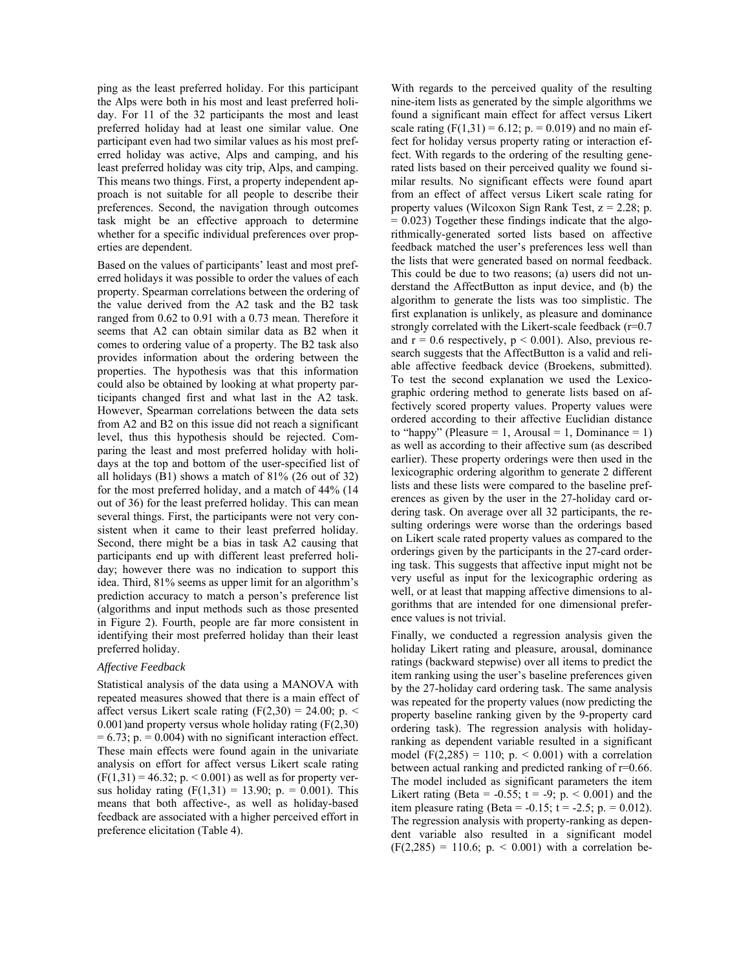ping as the least preferred holiday. For this participant the Alps were both in his most and least preferred holiday. For 11 of the 32 participants the most and least preferred holiday had at least one similar value. One participant even had two similar values as his most preferred holiday was active, Alps and camping, and his least preferred holiday was city trip, Alps, and camping. This means two things. First, a property independent approach is not suitable for all people to describe their preferences. Second, the navigation through outcomes task might be an effective approach to determine whether for a specific individual preferences over properties are dependent.

Based on the values of participants' least and most preferred holidays it was possible to order the values of each property. Spearman correlations between the ordering of the value derived from the A2 task and the B2 task ranged from 0.62 to 0.91 with a 0.73 mean. Therefore it seems that A2 can obtain similar data as B2 when it comes to ordering value of a property. The B2 task also provides information about the ordering between the properties. The hypothesis was that this information could also be obtained by looking at what property participants changed first and what last in the A2 task. However, Spearman correlations between the data sets from A2 and B2 on this issue did not reach a significant level, thus this hypothesis should be rejected. Comparing the least and most preferred holiday with holidays at the top and bottom of the user-specified list of all holidays (B1) shows a match of 81% (26 out of 32) for the most preferred holiday, and a match of 44% (14 out of 36) for the least preferred holiday. This can mean several things. First, the participants were not very consistent when it came to their least preferred holiday. Second, there might be a bias in task A2 causing that participants end up with different least preferred holiday; however there was no indication to support this idea. Third, 81% seems as upper limit for an algorithm's prediction accuracy to match a person's preference list (algorithms and input methods such as those presented in Figure 2). Fourth, people are far more consistent in identifying their most preferred holiday than their least preferred holiday.

## *Affective Feedback*

Statistical analysis of the data using a MANOVA with repeated measures showed that there is a main effect of affect versus Likert scale rating  $(F(2,30) = 24.00; p. \le$ 0.001)and property versus whole holiday rating (F(2,30)  $= 6.73$ ; p.  $= 0.004$ ) with no significant interaction effect. These main effects were found again in the univariate analysis on effort for affect versus Likert scale rating  $(F(1,31) = 46.32; p. < 0.001)$  as well as for property versus holiday rating  $(F(1,31) = 13.90; p = 0.001)$ . This means that both affective-, as well as holiday-based feedback are associated with a higher perceived effort in preference elicitation (Table 4).

With regards to the perceived quality of the resulting nine-item lists as generated by the simple algorithms we found a significant main effect for affect versus Likert scale rating  $(F(1,31) = 6.12; p = 0.019)$  and no main effect for holiday versus property rating or interaction effect. With regards to the ordering of the resulting generated lists based on their perceived quality we found similar results. No significant effects were found apart from an effect of affect versus Likert scale rating for property values (Wilcoxon Sign Rank Test,  $z = 2.28$ ; p.  $= 0.023$ ) Together these findings indicate that the algorithmically-generated sorted lists based on affective feedback matched the user's preferences less well than the lists that were generated based on normal feedback. This could be due to two reasons; (a) users did not understand the AffectButton as input device, and (b) the algorithm to generate the lists was too simplistic. The first explanation is unlikely, as pleasure and dominance strongly correlated with the Likert-scale feedback (r=0.7) and  $r = 0.6$  respectively,  $p \le 0.001$ ). Also, previous research suggests that the AffectButton is a valid and reliable affective feedback device (Broekens, submitted). To test the second explanation we used the Lexicographic ordering method to generate lists based on affectively scored property values. Property values were ordered according to their affective Euclidian distance to "happy" (Pleasure  $= 1$ , Arousal  $= 1$ , Dominance  $= 1$ ) as well as according to their affective sum (as described earlier). These property orderings were then used in the lexicographic ordering algorithm to generate 2 different lists and these lists were compared to the baseline preferences as given by the user in the 27-holiday card ordering task. On average over all 32 participants, the resulting orderings were worse than the orderings based on Likert scale rated property values as compared to the orderings given by the participants in the 27-card ordering task. This suggests that affective input might not be very useful as input for the lexicographic ordering as well, or at least that mapping affective dimensions to algorithms that are intended for one dimensional preference values is not trivial.

Finally, we conducted a regression analysis given the holiday Likert rating and pleasure, arousal, dominance ratings (backward stepwise) over all items to predict the item ranking using the user's baseline preferences given by the 27-holiday card ordering task. The same analysis was repeated for the property values (now predicting the property baseline ranking given by the 9-property card ordering task). The regression analysis with holidayranking as dependent variable resulted in a significant model (F(2,285) = 110; p.  $0.001$ ) with a correlation between actual ranking and predicted ranking of r=0.66. The model included as significant parameters the item Likert rating (Beta = -0.55;  $t = -9$ ;  $p. < 0.001$ ) and the item pleasure rating (Beta =  $-0.15$ ; t =  $-2.5$ ; p. = 0.012). The regression analysis with property-ranking as dependent variable also resulted in a significant model  $(F(2,285) = 110.6; p. < 0.001)$  with a correlation be-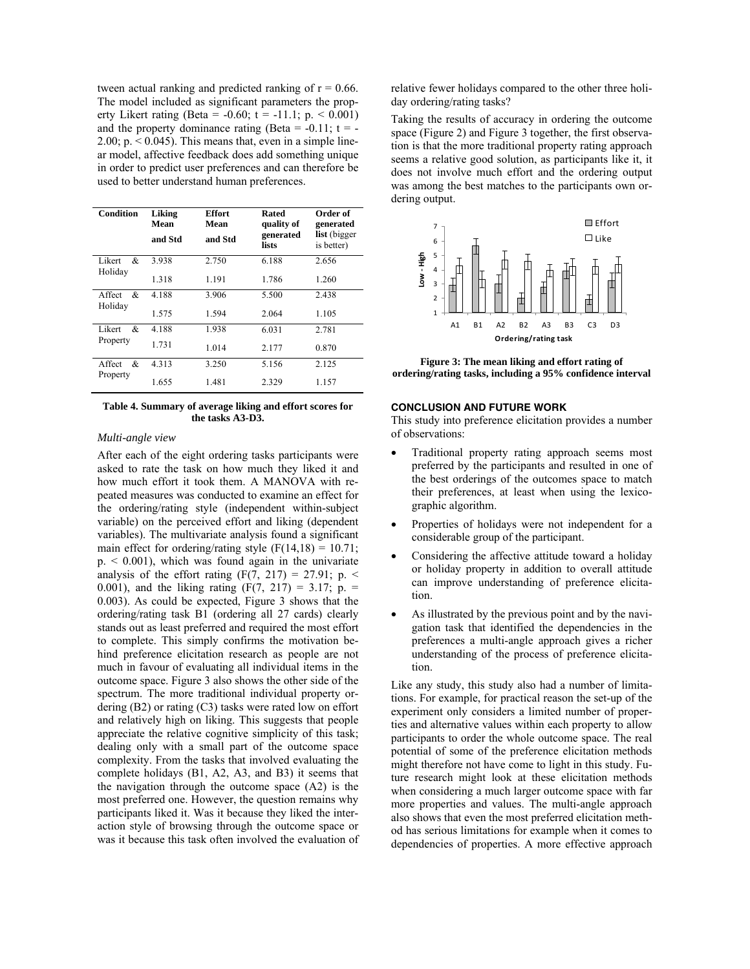tween actual ranking and predicted ranking of  $r = 0.66$ . The model included as significant parameters the property Likert rating (Beta = -0.60;  $t = -11.1$ ; p. < 0.001) and the property dominance rating (Beta =  $-0.11$ ; t =  $-$ 2.00;  $p. < 0.045$ ). This means that, even in a simple linear model, affective feedback does add something unique in order to predict user preferences and can therefore be used to better understand human preferences.

| Condition               | Liking<br>Mean<br>and Std | <b>Effort</b><br>Mean<br>and Std | Rated<br>quality of<br>generated<br>lists | Order of<br>generated<br>list (bigger<br>is better) |
|-------------------------|---------------------------|----------------------------------|-------------------------------------------|-----------------------------------------------------|
| Likert<br>&<br>Holiday  | 3.938                     | 2.750                            | 6.188                                     | 2.656                                               |
|                         | 1.318                     | 1.191                            | 1.786                                     | 1.260                                               |
| Affect<br>&<br>Holiday  | 4.188                     | 3.906                            | 5.500                                     | 2.438                                               |
|                         | 1.575                     | 1.594                            | 2.064                                     | 1.105                                               |
| Likert<br>&<br>Property | 4.188                     | 1.938                            | 6.031                                     | 2.781                                               |
|                         | 1.731                     | 1.014                            | 2.177                                     | 0.870                                               |
| Affect<br>&<br>Property | 4.313                     | 3.250                            | 5.156                                     | 2.125                                               |
|                         | 1.655                     | 1.481                            | 2.329                                     | 1.157                                               |

#### **Table 4. Summary of average liking and effort scores for the tasks A3-D3.**

#### *Multi-angle view*

After each of the eight ordering tasks participants were asked to rate the task on how much they liked it and how much effort it took them. A MANOVA with repeated measures was conducted to examine an effect for the ordering/rating style (independent within-subject variable) on the perceived effort and liking (dependent variables). The multivariate analysis found a significant main effect for ordering/rating style  $(F(14,18) = 10.71)$ ;  $p_{\text{A}}$  < 0.001), which was found again in the univariate analysis of the effort rating  $(F(7, 217) = 27.91; p. \leq$ 0.001), and the liking rating  $(F(7, 217) = 3.17; p. =$ 0.003). As could be expected, Figure 3 shows that the ordering/rating task B1 (ordering all 27 cards) clearly stands out as least preferred and required the most effort to complete. This simply confirms the motivation behind preference elicitation research as people are not much in favour of evaluating all individual items in the outcome space. Figure 3 also shows the other side of the spectrum. The more traditional individual property ordering (B2) or rating (C3) tasks were rated low on effort and relatively high on liking. This suggests that people appreciate the relative cognitive simplicity of this task; dealing only with a small part of the outcome space complexity. From the tasks that involved evaluating the complete holidays (B1, A2, A3, and B3) it seems that the navigation through the outcome space (A2) is the most preferred one. However, the question remains why participants liked it. Was it because they liked the interaction style of browsing through the outcome space or was it because this task often involved the evaluation of relative fewer holidays compared to the other three holiday ordering/rating tasks?

Taking the results of accuracy in ordering the outcome space (Figure 2) and Figure 3 together, the first observation is that the more traditional property rating approach seems a relative good solution, as participants like it, it does not involve much effort and the ordering output was among the best matches to the participants own ordering output.



**Figure 3: The mean liking and effort rating of ordering/rating tasks, including a 95% confidence interval** 

## **CONCLUSION AND FUTURE WORK**

This study into preference elicitation provides a number of observations:

- Traditional property rating approach seems most preferred by the participants and resulted in one of the best orderings of the outcomes space to match their preferences, at least when using the lexicographic algorithm.
- Properties of holidays were not independent for a considerable group of the participant.
- Considering the affective attitude toward a holiday or holiday property in addition to overall attitude can improve understanding of preference elicitation.
- As illustrated by the previous point and by the navigation task that identified the dependencies in the preferences a multi-angle approach gives a richer understanding of the process of preference elicitation.

Like any study, this study also had a number of limitations. For example, for practical reason the set-up of the experiment only considers a limited number of properties and alternative values within each property to allow participants to order the whole outcome space. The real potential of some of the preference elicitation methods might therefore not have come to light in this study. Future research might look at these elicitation methods when considering a much larger outcome space with far more properties and values. The multi-angle approach also shows that even the most preferred elicitation method has serious limitations for example when it comes to dependencies of properties. A more effective approach